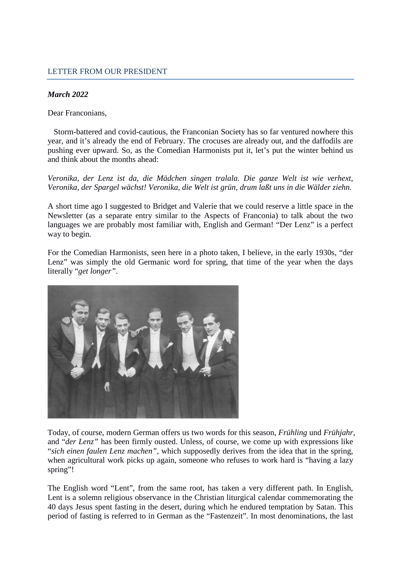## LETTER FROM OUR PRESIDENT

## *March 2022*

Dear Franconians,

Storm-battered and covid-cautious, the Franconian Society has so far ventured nowhere this year, and it's already the end of February. The crocuses are already out, and the daffodils are pushing ever upward. So, as the Comedian Harmonists put it, let's put the winter behind us and think about the months ahead:

*Veronika, der Lenz ist da, die Mädchen singen tralala. Die ganze Welt ist wie verhext, Veronika, der Spargel wächst! Veronika, die Welt ist grün, drum laßt uns in die Wälder ziehn.* 

A short time ago I suggested to Bridget and Valerie that we could reserve a little space in the Newsletter (as a separate entry similar to the Aspects of Franconia) to talk about the two languages we are probably most familiar with, English and German! "Der Lenz" is a perfect way to begin.

For the Comedian Harmonists, seen here in a photo taken, I believe, in the early 1930s, "der Lenz" was simply the old Germanic word for spring, that time of the year when the days literally "*get longer"*.



Today, of course, modern German offers us two words for this season, *Frühling* und *Frühjahr*, and "*der Lenz"* has been firmly ousted. Unless, of course, we come up with expressions like "*sich einen faulen Lenz machen",* which supposedly derives from the idea that in the spring, when agricultural work picks up again, someone who refuses to work hard is "having a lazy spring"!

The English word "Lent", from the same root, has taken a very different path. In English, Lent is a solemn religious observance in the Christian liturgical calendar commemorating the 40 days Jesus spent fasting in the desert, during which he endured temptation by Satan. This period of fasting is referred to in German as the "Fastenzeit". In most denominations, the last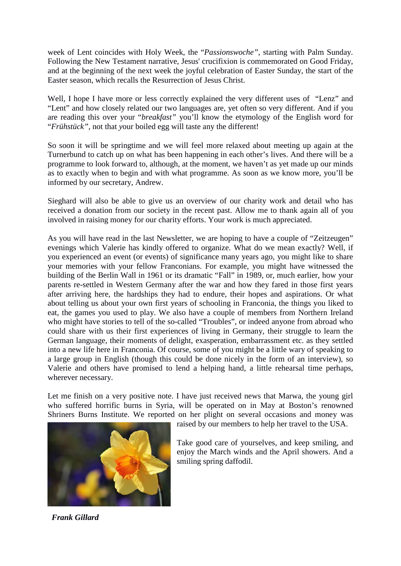week of Lent coincides with Holy Week, the "*Passionswoche"*, starting with Palm Sunday. Following the New Testament narrative, Jesus' crucifixion is commemorated on Good Friday, and at the beginning of the next week the joyful celebration of Easter Sunday, the start of the Easter season, which recalls the Resurrection of Jesus Christ.

Well, I hope I have more or less correctly explained the very different uses of "Lenz" and "Lent" and how closely related our two languages are, yet often so very different. And if you are reading this over your "*breakfast"* you'll know the etymology of the English word for "*Frühstück",* not that *y*our boiled egg will taste any the different!

So soon it will be springtime and we will feel more relaxed about meeting up again at the Turnerbund to catch up on what has been happening in each other's lives. And there will be a programme to look forward to, although, at the moment, we haven't as yet made up our minds as to exactly when to begin and with what programme. As soon as we know more, you'll be informed by our secretary, Andrew.

Sieghard will also be able to give us an overview of our charity work and detail who has received a donation from our society in the recent past. Allow me to thank again all of you involved in raising money for our charity efforts. Your work is much appreciated.

As you will have read in the last Newsletter, we are hoping to have a couple of "Zeitzeugen" evenings which Valerie has kindly offered to organize. What do we mean exactly? Well, if you experienced an event (or events) of significance many years ago, you might like to share your memories with your fellow Franconians. For example, you might have witnessed the building of the Berlin Wall in 1961 or its dramatic "Fall" in 1989, or, much earlier, how your parents re-settled in Western Germany after the war and how they fared in those first years after arriving here, the hardships they had to endure, their hopes and aspirations. Or what about telling us about your own first years of schooling in Franconia, the things you liked to eat, the games you used to play. We also have a couple of members from Northern Ireland who might have stories to tell of the so-called "Troubles", or indeed anyone from abroad who could share with us their first experiences of living in Germany, their struggle to learn the German language, their moments of delight, exasperation, embarrassment etc. as they settled into a new life here in Franconia. Of course, some of you might be a little wary of speaking to a large group in English (though this could be done nicely in the form of an interview), so Valerie and others have promised to lend a helping hand, a little rehearsal time perhaps, wherever necessary.

Let me finish on a very positive note. I have just received news that Marwa, the young girl who suffered horrific burns in Syria, will be operated on in May at Boston's renowned Shriners Burns Institute. We reported on her plight on several occasions and money was



raised by our members to help her travel to the USA.

Take good care of yourselves, and keep smiling, and enjoy the March winds and the April showers. And a smiling spring daffodil.

 *Frank Gillard*